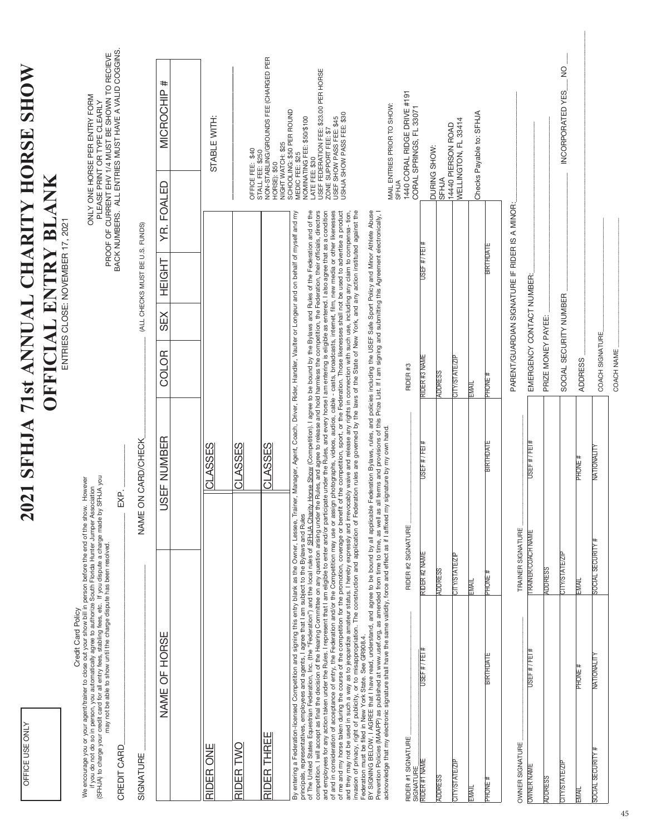## 2021 SFHJA 71st ANNUAL CHARITY HORSE SHOW **2021 SFHJA 71st ANNUAL CHARITY HORSE SHOW OFFICIAL ENTRY BLANK OFFICIAL ENTRY BLANK**

ENTRIES CLOSE: NOVEMBER 17, 2021 ENTRIES CLOSE: NOVEMBER 17, 2021

> We encourage you or your agent/trainer to close out your show bill in person before the end of the show. However<br>If you do not do so in person, you allomatically agree to authorize South Florida Hunter Jumper Association<br>( We encourage you or your agent/trainer to close out your show bill in person before the end of the show. However (SFHJA) to charge your credit card for all entry fees, stabling fees, etc. If you dispute a charge made by SFHJA you if you do not do so in person, you automatically agree to authorize South Florida Hunter Jumper Association may not be able to show until the charge dispute has been resolved. Credit Card Policy

ONLY ONE HORSE PER ENTRY FORM<br>PROOF OF CURRENT EHV 1/4 MUST BE SHOWN TO RECIEVE<br>BACK NUMBERS. ALL ENTRIES MUST BE SHOWN TO RECIEVE<br>BACK NUMBERS. ALL ENTRIES MUST HAVE A VALID COGGINS. BACK NUMBERS. ALL ENTRIES MUST HAVE A VALID COGGINS. PROOF OF CURRENT EHV 1/4 MUST BE SHOWN TO RECIEVE ONLY ONE HORSE PER ENTRY FORM PLEASE PRINT OR TYPE CLEARLY

| CREDIT CARD                                              |                                                                                                                                                                                                                                                                                                                                                                                                                                                                                                                                                                                                                                                                                                                                                                                                                                                                                                                                                                                                                                                                                                                                                                                                                                                                                                                                                                                                                                                                                                                                              | EXP.               |                                                                                                             |                           |     |                                                |               | BACK NUMBERS. ALL ENTRIES MUST HAVE A VALID COGGINS.                                                                                                                                                   |
|----------------------------------------------------------|----------------------------------------------------------------------------------------------------------------------------------------------------------------------------------------------------------------------------------------------------------------------------------------------------------------------------------------------------------------------------------------------------------------------------------------------------------------------------------------------------------------------------------------------------------------------------------------------------------------------------------------------------------------------------------------------------------------------------------------------------------------------------------------------------------------------------------------------------------------------------------------------------------------------------------------------------------------------------------------------------------------------------------------------------------------------------------------------------------------------------------------------------------------------------------------------------------------------------------------------------------------------------------------------------------------------------------------------------------------------------------------------------------------------------------------------------------------------------------------------------------------------------------------------|--------------------|-------------------------------------------------------------------------------------------------------------|---------------------------|-----|------------------------------------------------|---------------|--------------------------------------------------------------------------------------------------------------------------------------------------------------------------------------------------------|
| SIGNATURE                                                |                                                                                                                                                                                                                                                                                                                                                                                                                                                                                                                                                                                                                                                                                                                                                                                                                                                                                                                                                                                                                                                                                                                                                                                                                                                                                                                                                                                                                                                                                                                                              |                    | NAME ON CARD/CHECK                                                                                          |                           |     | (ALL CHECKS MUST BE U.S. FUNDS)                |               |                                                                                                                                                                                                        |
|                                                          | NAME OF HORSE                                                                                                                                                                                                                                                                                                                                                                                                                                                                                                                                                                                                                                                                                                                                                                                                                                                                                                                                                                                                                                                                                                                                                                                                                                                                                                                                                                                                                                                                                                                                |                    | USEF NUMBER                                                                                                 | <b>COLOR</b>              | SEX | <b>HEIGHT</b>                                  | YR. FOALED    | MICROCHIP <sup>#</sup>                                                                                                                                                                                 |
|                                                          |                                                                                                                                                                                                                                                                                                                                                                                                                                                                                                                                                                                                                                                                                                                                                                                                                                                                                                                                                                                                                                                                                                                                                                                                                                                                                                                                                                                                                                                                                                                                              |                    |                                                                                                             |                           |     |                                                |               |                                                                                                                                                                                                        |
| ME<br>O<br>RIDER                                         |                                                                                                                                                                                                                                                                                                                                                                                                                                                                                                                                                                                                                                                                                                                                                                                                                                                                                                                                                                                                                                                                                                                                                                                                                                                                                                                                                                                                                                                                                                                                              |                    | CLASSES                                                                                                     |                           |     |                                                |               | STABLE WITH:                                                                                                                                                                                           |
| RIDER TWO                                                |                                                                                                                                                                                                                                                                                                                                                                                                                                                                                                                                                                                                                                                                                                                                                                                                                                                                                                                                                                                                                                                                                                                                                                                                                                                                                                                                                                                                                                                                                                                                              |                    | CLASSES                                                                                                     |                           |     |                                                |               | OFFICE FEE: \$40                                                                                                                                                                                       |
| RIDER THREE                                              |                                                                                                                                                                                                                                                                                                                                                                                                                                                                                                                                                                                                                                                                                                                                                                                                                                                                                                                                                                                                                                                                                                                                                                                                                                                                                                                                                                                                                                                                                                                                              |                    | <b>CLASSES</b>                                                                                              |                           |     |                                                | HORSE): \$50  | <b>VON-STABLING/GROUNDS FEE (CHARGED PER</b><br>NIGHT WATCH: \$25<br>STALL FEE: \$250                                                                                                                  |
| Federation must be filed in New York State. See GR908.4. | of The United States Equestrian Federation, Inc. (the "Federation") and the local rules of <u>SFHJA Charity Horse Show</u> (Compettion). I agree to be bound by the Bylaws and Rules of the Federation and of the<br>compettion. I wil<br>invasion of privacy, right of publicity, or to misappropriation. The construction and application of Federation rules are governed by the laws of the State of New York, and any action instituted against the<br>and employees for any action taken under the Rules. I represent that I am eligible to enter and/or participate under the Rules, and every horse I am entering is eligible as entered. I also agree that as a condition<br>of and in consideration of acceptance of entry, the Federation and/or the Competition may use or assign photographs, videos, audios, cable - casts, broadcasts, internet, film, new media or other likenesses<br>of me and my horse taken during the course of the competition for the promotion, coverage or benefit of the competition, sport, or the Federation. Those likenesses shall not be used to advertise a product<br>and they may not be used in such a way as to jeopardize amateur status. I hereby expressly and irevocably waive and release any rights in connection with such use, including any claim to compensa- tion,<br>principals, representatives, employees and agents, I agree that I am subject to the Bylaws and Rules<br>By entering a Federation-licensed Competition and signing this entry blank as the Owner, Lessee |                    | , Trainer, Manager, Agent, Coach, Driver, Rider, Handler, Vaulter or Longeur and on behalf of myself and my |                           |     |                                                | ATE FEE: \$30 | USEF FEDERATION FEE: \$23.00 PER HORSE<br>SCHOOLING: \$50 PER ROUND<br>USHJA SHOW PASS FEE: \$30<br>NOMINATING FEE: \$50/\$100<br>USEF SHOW PASS FEE: \$45<br>ZONE SUPPORT FEE: \$7<br>MEDIC FEE: \$25 |
|                                                          | BY SIGNING BELOW, I AGREE that I have read, understand, and agree to be bound by all applicable Federation Bylaws, rules, and policies including the USEF Safe Sport Policy and Minor Athlete Abuse<br>Prevention Policies (MAAPP<br>acknowledge that my electronic signature shall have the same validity, force and effect as if I affixed my signature by my own hand.                                                                                                                                                                                                                                                                                                                                                                                                                                                                                                                                                                                                                                                                                                                                                                                                                                                                                                                                                                                                                                                                                                                                                                    |                    |                                                                                                             |                           |     |                                                |               | MAIL ENTRIES PRIOR TO SHOW:                                                                                                                                                                            |
| RIDER #1 SIGNATURE                                       |                                                                                                                                                                                                                                                                                                                                                                                                                                                                                                                                                                                                                                                                                                                                                                                                                                                                                                                                                                                                                                                                                                                                                                                                                                                                                                                                                                                                                                                                                                                                              | RIDER #2 SIGNATURE |                                                                                                             | RIDER <sub>#3</sub>       |     |                                                | <b>SFHJA</b>  | 1440 CORAL RIDGE DRIVE #191                                                                                                                                                                            |
| RIDER #1 NAME<br>SIGNATURE                               | USEF # / FEI #                                                                                                                                                                                                                                                                                                                                                                                                                                                                                                                                                                                                                                                                                                                                                                                                                                                                                                                                                                                                                                                                                                                                                                                                                                                                                                                                                                                                                                                                                                                               | RIDER #2 NAME      | USEF #/FEI#                                                                                                 | RIDER #3 NAME             |     | USEF #/FEI#                                    |               | CORAL SPRINGS, FL 3307                                                                                                                                                                                 |
| <b>ADDRESS</b>                                           |                                                                                                                                                                                                                                                                                                                                                                                                                                                                                                                                                                                                                                                                                                                                                                                                                                                                                                                                                                                                                                                                                                                                                                                                                                                                                                                                                                                                                                                                                                                                              | <b>ADDRESS</b>     |                                                                                                             | <b>ADDRESS</b>            |     |                                                | <b>SFHJA</b>  | DURING SHOW:                                                                                                                                                                                           |
| <b>CITY/STATE/ZIP</b>                                    |                                                                                                                                                                                                                                                                                                                                                                                                                                                                                                                                                                                                                                                                                                                                                                                                                                                                                                                                                                                                                                                                                                                                                                                                                                                                                                                                                                                                                                                                                                                                              | CITY/STATE/ZIP     |                                                                                                             | <b>CITY/STATE/ZIP</b>     |     |                                                |               | WELLINGTON, FL 33414<br>14440 PIERSON ROAD                                                                                                                                                             |
| EMAIL                                                    |                                                                                                                                                                                                                                                                                                                                                                                                                                                                                                                                                                                                                                                                                                                                                                                                                                                                                                                                                                                                                                                                                                                                                                                                                                                                                                                                                                                                                                                                                                                                              | EMAIL              |                                                                                                             | EMAIL                     |     |                                                |               | Checks Payable to: SFHJA                                                                                                                                                                               |
| <b>PHONE#</b>                                            | <b>BIRTHDATE</b>                                                                                                                                                                                                                                                                                                                                                                                                                                                                                                                                                                                                                                                                                                                                                                                                                                                                                                                                                                                                                                                                                                                                                                                                                                                                                                                                                                                                                                                                                                                             | # 3NOHE            | <b>BIRTHDATE</b>                                                                                            | # 3NOH                    |     | <b>BIRTHDATE</b>                               |               |                                                                                                                                                                                                        |
| OWNER SIGNATURE                                          |                                                                                                                                                                                                                                                                                                                                                                                                                                                                                                                                                                                                                                                                                                                                                                                                                                                                                                                                                                                                                                                                                                                                                                                                                                                                                                                                                                                                                                                                                                                                              | TRAINER SIGNATURE  |                                                                                                             |                           |     | PARENT/GUARDIAN SIGNATURE IF RIDER IS A MINOR: |               |                                                                                                                                                                                                        |
| <b>OWNER NAME</b>                                        | USEF #/FEI#                                                                                                                                                                                                                                                                                                                                                                                                                                                                                                                                                                                                                                                                                                                                                                                                                                                                                                                                                                                                                                                                                                                                                                                                                                                                                                                                                                                                                                                                                                                                  | RAINER/COACH NAME  | USEF #/FEI #                                                                                                | EMERGENCY CONTACT NUMBER: |     |                                                |               |                                                                                                                                                                                                        |

ADDRESS \_\_\_\_\_\_\_\_\_\_\_\_\_\_\_\_\_\_\_\_\_\_\_\_\_\_\_\_\_\_\_\_\_\_\_\_\_\_\_\_\_\_\_\_\_\_\_\_\_\_\_\_\_\_\_\_\_\_\_\_\_\_\_\_\_\_\_\_\_\_\_\_\_\_\_\_\_\_\_\_\_\_\_\_\_\_\_\_ SOCIAL SECURITY NUMBER \_\_\_\_\_\_\_\_\_\_\_\_\_\_\_\_\_\_\_\_\_\_\_\_\_\_\_\_\_\_\_\_ INCORPORATED YES\_\_\_ NO \_\_\_  $\overline{N}$ INCORPORATED YES PRIZE MONEY PAYEE: \_\_\_\_\_\_\_\_\_\_\_\_\_\_\_\_\_\_\_\_\_\_\_\_\_\_\_\_\_\_\_\_\_\_\_\_\_\_\_\_\_\_\_\_\_\_\_\_\_\_\_\_\_ EMERGENCY CONTACT NUMBER:\_\_\_\_\_\_\_\_\_\_\_\_\_\_\_\_\_\_\_\_\_\_\_\_\_\_\_\_\_\_\_\_\_\_\_\_\_\_\_\_\_ COACH NAME \_\_\_\_\_\_\_\_\_\_\_\_\_\_\_\_\_\_\_\_\_\_\_\_\_\_\_\_\_\_\_\_\_\_\_\_\_\_\_\_\_ COACH SIGNATURE\_\_\_\_\_\_\_\_\_\_\_\_\_\_\_\_\_\_\_\_\_\_\_\_\_\_\_\_\_\_\_\_\_\_\_\_ SOCIAL SECURITY NUMBER PRIZE MONEY PAYEE: COACH SIGNATURE COACH NAME ADDRESS OWNER NAME USEF # / FEI # TRAINER/COACH NAME USEF # / FEI # NATIONALITY SOCIAL SECURITY # NATIONALITY SOCIAL SECURITY # NATIONALITY PHONE # EMAIL PHONE # EMAIL PHONE # SOCIAL SECURITY # CITY/STATE/ZIP CITY/STATE/ZIP **JIY/STATE/ZIF IDDRESS** ADDRESS ADDRESS MAIL NATIONALITY PHONE# SOCIAL SECURITY # **TY/STATE/ZIF ADDRESS** MAIL